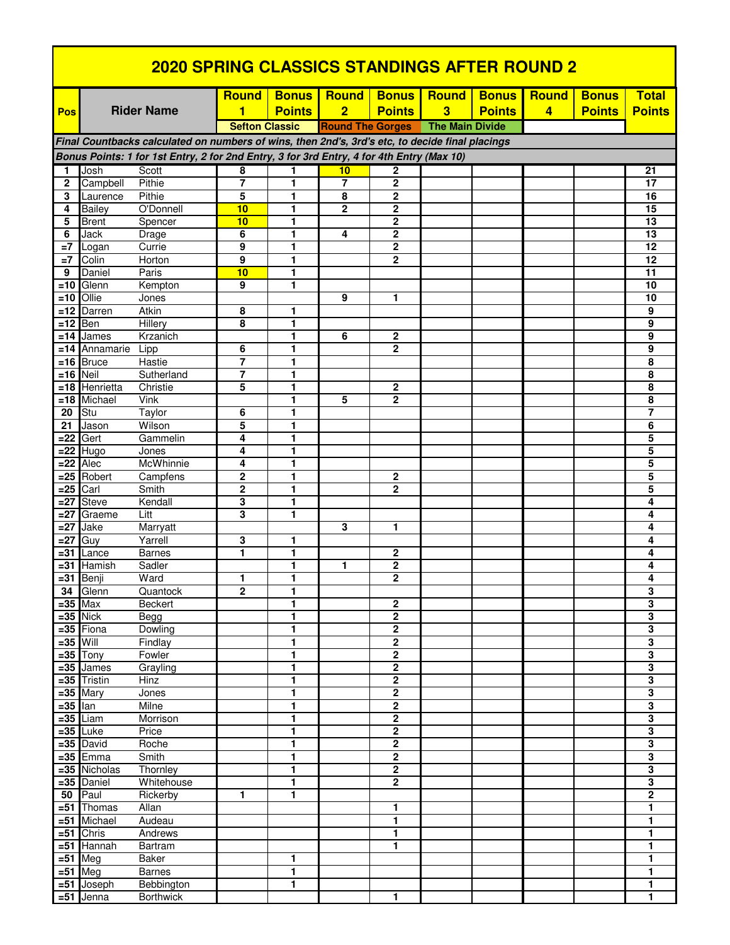| <u>2020 SPRING CLASSICS STANDINGS AFTER ROUND 2</u>                                       |                                                                                                 |                               |                                  |                         |                         |                                  |                         |               |                |               |                                                    |
|-------------------------------------------------------------------------------------------|-------------------------------------------------------------------------------------------------|-------------------------------|----------------------------------|-------------------------|-------------------------|----------------------------------|-------------------------|---------------|----------------|---------------|----------------------------------------------------|
|                                                                                           |                                                                                                 |                               | <b>Round</b>                     | <b>Bonus</b>            | <b>Round</b>            | <b>Bonus</b>                     | <b>Round</b>            | <b>Bonus</b>  | <b>Round</b>   | <b>Bonus</b>  | <b>Total</b>                                       |
| Pos                                                                                       |                                                                                                 | <b>Rider Name</b>             | 1                                | <b>Points</b>           | $\overline{2}$          | <b>Points</b>                    | $\overline{\mathbf{3}}$ | <b>Points</b> | $\overline{4}$ | <b>Points</b> | <b>Points</b>                                      |
|                                                                                           |                                                                                                 |                               | <b>Sefton Classic</b>            |                         | <b>Round The Gorges</b> |                                  | <b>The Main Divide</b>  |               |                |               |                                                    |
|                                                                                           | Final Countbacks calculated on numbers of wins, then 2nd's, 3rd's etc, to decide final placings |                               |                                  |                         |                         |                                  |                         |               |                |               |                                                    |
| Bonus Points: 1 for 1st Entry, 2 for 2nd Entry, 3 for 3rd Entry, 4 for 4th Entry (Max 10) |                                                                                                 |                               |                                  |                         |                         |                                  |                         |               |                |               |                                                    |
| 1                                                                                         | Josh                                                                                            | Scott                         | 8                                | 1                       | 10                      | 2                                |                         |               |                |               | 21                                                 |
| $\mathbf{2}$                                                                              | Campbell                                                                                        | Pithie                        | $\overline{7}$                   | 1                       | $\overline{7}$          | $\overline{2}$                   |                         |               |                |               | 17                                                 |
| 3                                                                                         | Laurence                                                                                        | Pithie                        | 5                                | 1                       | 8                       | $\mathbf 2$                      |                         |               |                |               | 16                                                 |
| 4                                                                                         | <b>Bailey</b>                                                                                   | O'Donnell                     | 10                               | 1                       | $\mathbf{2}$            | $\mathbf 2$                      |                         |               |                |               | 15                                                 |
| 5                                                                                         | <b>Brent</b>                                                                                    | Spencer                       | 10                               | 1                       |                         | 2                                |                         |               |                |               | 13                                                 |
| 6<br>$=7$                                                                                 | Jack                                                                                            | Drage<br>Currie               | 6<br>9                           | 1<br>1                  | 4                       | $\overline{2}$<br>$\overline{2}$ |                         |               |                |               | 13<br>12                                           |
| $=7$                                                                                      | Logan<br>Colin                                                                                  | Horton                        | 9                                | 1                       |                         | $\mathbf 2$                      |                         |               |                |               | 12                                                 |
| 9                                                                                         | Daniel                                                                                          | Paris                         | 10                               | 1                       |                         |                                  |                         |               |                |               | 11                                                 |
| $=10$                                                                                     | Glenn                                                                                           | Kempton                       | 9                                | 1                       |                         |                                  |                         |               |                |               | 10                                                 |
| $=10$                                                                                     | Ollie                                                                                           | Jones                         |                                  |                         | 9                       | 1                                |                         |               |                |               | 10                                                 |
| $=12$                                                                                     | Darren                                                                                          | Atkin                         | 8                                | 1                       |                         |                                  |                         |               |                |               | 9                                                  |
| $=12$                                                                                     | Ben                                                                                             | Hillery                       | 8                                | 1                       |                         |                                  |                         |               |                |               | 9                                                  |
| $=14$                                                                                     | James                                                                                           | Krzanich                      |                                  | 1                       | 6                       | 2                                |                         |               |                |               | 9                                                  |
|                                                                                           | $=14$ Annamarie Lipp                                                                            |                               | 6                                | 1                       |                         | $\overline{2}$                   |                         |               |                |               | 9                                                  |
| =16  <br>$=16$                                                                            | <b>Bruce</b><br><b>Neil</b>                                                                     | Hastie<br>Sutherland          | $\overline{7}$<br>$\overline{7}$ | 1<br>1                  |                         |                                  |                         |               |                |               | 8<br>8                                             |
| $=18$                                                                                     | Henrietta                                                                                       | Christie                      | 5                                | 1                       |                         | $\mathbf 2$                      |                         |               |                |               | 8                                                  |
| $=18$                                                                                     | Michael                                                                                         | Vink                          |                                  | 1                       | 5                       | $\overline{2}$                   |                         |               |                |               | 8                                                  |
| 20                                                                                        | Stu                                                                                             | Taylor                        | 6                                | 1                       |                         |                                  |                         |               |                |               | $\overline{7}$                                     |
| 21                                                                                        | Jason                                                                                           | Wilson                        | 5                                | 1                       |                         |                                  |                         |               |                |               | 6                                                  |
| $= 22$                                                                                    | Gert                                                                                            | Gammelin                      | 4                                | 1                       |                         |                                  |                         |               |                |               | 5                                                  |
| $= 22$                                                                                    | Hugo                                                                                            | Jones                         | 4                                | 1                       |                         |                                  |                         |               |                |               | 5                                                  |
| $=22$                                                                                     | Alec                                                                                            | McWhinnie                     | 4                                | 1                       |                         |                                  |                         |               |                |               | 5                                                  |
| $=25$                                                                                     | Robert                                                                                          | Campfens<br>Smith             | $\mathbf{2}$<br>$\mathbf{2}$     | 1<br>1                  |                         | 2<br>$\mathbf{2}$                |                         |               |                |               | 5<br>5                                             |
| $= 25$<br>$=27$                                                                           | Carl<br><b>Steve</b>                                                                            | Kendall                       | 3                                | 1                       |                         |                                  |                         |               |                |               | 4                                                  |
| $=27$                                                                                     | Graeme                                                                                          | Litt                          | 3                                | 1                       |                         |                                  |                         |               |                |               | 4                                                  |
| =27                                                                                       | Jake                                                                                            | Marryatt                      |                                  |                         | 3                       | 1                                |                         |               |                |               | 4                                                  |
| $=27$                                                                                     | Guy                                                                                             | Yarrell                       | 3                                | 1                       |                         |                                  |                         |               |                |               | 4                                                  |
| =31                                                                                       | Lance                                                                                           | <b>Barnes</b>                 | 1                                | 1                       |                         | $\mathbf 2$                      |                         |               |                |               | 4                                                  |
| =31                                                                                       | Hamish                                                                                          | Sadler                        |                                  | 1                       | 1                       | 2                                |                         |               |                |               | 4                                                  |
|                                                                                           | $=31$ Benji                                                                                     | Ward                          | 1                                | 1                       |                         | $\overline{2}$                   |                         |               |                |               | 4                                                  |
| 34                                                                                        | Glenn                                                                                           | Quantock<br><b>Beckert</b>    | $\overline{2}$                   | 1<br>1                  |                         |                                  |                         |               |                |               | 3<br>$\overline{\mathbf{3}}$                       |
|                                                                                           | $= 35$ Max<br>$=35$ Nick                                                                        | <b>Begg</b>                   |                                  | 1                       |                         | $\mathbf 2$<br>$\overline{2}$    |                         |               |                |               | $\overline{\mathbf{3}}$                            |
|                                                                                           | $=35$ Fiona                                                                                     | Dowling                       |                                  | 1                       |                         | $\overline{\mathbf{2}}$          |                         |               |                |               | $\overline{\mathbf{3}}$                            |
| $=35$ Will                                                                                |                                                                                                 | Findlay                       |                                  | 1                       |                         | $\overline{2}$                   |                         |               |                |               | 3                                                  |
|                                                                                           | $=35$ Tony                                                                                      | Fowler                        |                                  | 1                       |                         | $\overline{2}$                   |                         |               |                |               | $\overline{\mathbf{3}}$                            |
|                                                                                           | $=35$ James                                                                                     | Grayling                      |                                  | 1                       |                         | $\overline{\mathbf{2}}$          |                         |               |                |               | 3                                                  |
|                                                                                           | $=35$ Tristin                                                                                   | Hinz                          |                                  | 1                       |                         | $\overline{\mathbf{2}}$          |                         |               |                |               | 3                                                  |
|                                                                                           | $=35$ Mary                                                                                      | Jones                         |                                  | 1                       |                         | $\overline{2}$                   |                         |               |                |               | $\overline{\mathbf{3}}$                            |
| $=35$                                                                                     | lan                                                                                             | Milne                         |                                  | $\overline{\mathbf{1}}$ |                         | $\overline{2}$                   |                         |               |                |               | 3                                                  |
| $=35$<br>$=35$                                                                            | Liam                                                                                            | Morrison                      |                                  | 1                       |                         | $\overline{2}$                   |                         |               |                |               | $\overline{\mathbf{3}}$                            |
|                                                                                           | Luke<br>$=35$ David                                                                             | Price<br>Roche                |                                  | 1<br>1                  |                         | 2<br>$\overline{2}$              |                         |               |                |               | $\overline{\mathbf{3}}$<br>$\overline{\mathbf{3}}$ |
|                                                                                           | $=35$ Emma                                                                                      | Smith                         |                                  | 1                       |                         | $\overline{2}$                   |                         |               |                |               | $\overline{\mathbf{3}}$                            |
|                                                                                           | $=35$ Nicholas                                                                                  | Thornley                      |                                  | 1                       |                         | $\overline{2}$                   |                         |               |                |               | $\overline{\mathbf{3}}$                            |
|                                                                                           | $=35$ Daniel                                                                                    | Whitehouse                    |                                  | 1                       |                         | $\overline{2}$                   |                         |               |                |               | $\overline{\mathbf{3}}$                            |
| 50 <sub>1</sub>                                                                           | Paul                                                                                            | Rickerby                      | $\mathbf{1}$                     | 1                       |                         |                                  |                         |               |                |               | $\overline{\mathbf{2}}$                            |
|                                                                                           | $= 51$ Thomas                                                                                   | Allan                         |                                  |                         |                         | 1                                |                         |               |                |               | ī                                                  |
| =51                                                                                       | Michael                                                                                         | Audeau                        |                                  |                         |                         | $\overline{\mathbf{1}}$          |                         |               |                |               | 1                                                  |
| $= 51$                                                                                    | Chris                                                                                           | Andrews                       |                                  |                         |                         | 1                                |                         |               |                |               | 1                                                  |
| $=51$                                                                                     | Hannah                                                                                          | Bartram                       |                                  |                         |                         | 1                                |                         |               |                |               | 1                                                  |
| $= 51$                                                                                    | Meg<br>$= 51$ Meg                                                                               | <b>Baker</b><br><b>Barnes</b> |                                  | 1<br>1                  |                         |                                  |                         |               |                |               | 1<br>1                                             |
|                                                                                           | $= 51$ Joseph                                                                                   | Bebbington                    |                                  | 1                       |                         |                                  |                         |               |                |               | 1                                                  |
| $=51$                                                                                     | Jenna                                                                                           | <b>Borthwick</b>              |                                  |                         |                         | 1                                |                         |               |                |               | 1                                                  |